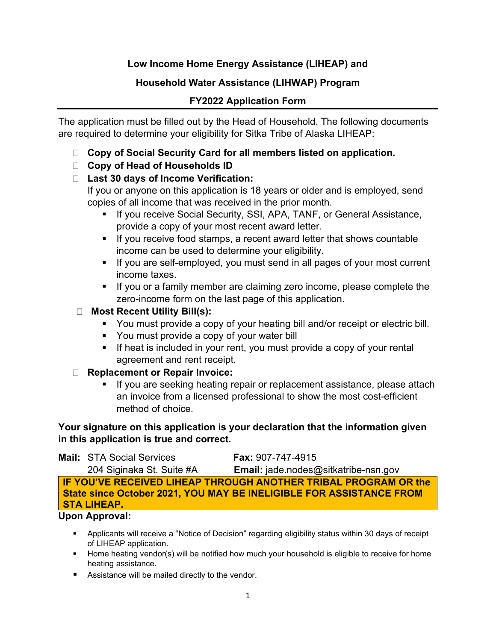# **Low Income Home Energy Assistance (LIHEAP) and**

# **Household Water Assistance (LIHWAP) Program**

# **FY2022 Application Form**

The application must be filled out by the Head of Household. The following documents are required to determine your eligibility for Sitka Tribe of Alaska LIHEAP:

- **Copy of Social Security Card for all members listed on application.**
- **Copy of Head of Households ID**

# **Last 30 days of Income Verification:**

If you or anyone on this application is 18 years or older and is employed, send copies of all income that was received in the prior month.

- **If you receive Social Security, SSI, APA, TANF, or General Assistance,** provide a copy of your most recent award letter.
- If you receive food stamps, a recent award letter that shows countable income can be used to determine your eligibility.
- **If you are self-employed, you must send in all pages of your most current** income taxes.
- If you or a family member are claiming zero income, please complete the zero-income form on the last page of this application.

# **Most Recent Utility Bill(s):**

- You must provide a copy of your heating bill and/or receipt or electric bill.
- You must provide a copy of your water bill
- If heat is included in your rent, you must provide a copy of your rental agreement and rent receipt.

## **Replacement or Repair Invoice:**

 If you are seeking heating repair or replacement assistance, please attach an invoice from a licensed professional to show the most cost-efficient method of choice.

## **Your signature on this application is your declaration that the information given in this application is true and correct.**

**Mail:** STA Social Services **Fax:** 907-747-4915 204 Siginaka St. Suite #A **Email:** jade.nodes@sitkatribe-nsn.gov **IF YOU'VE RECEIVED LIHEAP THROUGH ANOTHER TRIBAL PROGRAM OR the State since October 2021, YOU MAY BE INELIGIBLE FOR ASSISTANCE FROM STA LIHEAP.**

## **Upon Approval:**

- Applicants will receive a "Notice of Decision" regarding eligibility status within 30 days of receipt of LIHEAP application.
- **Home heating vendor(s) will be notified how much your household is eligible to receive for home** heating assistance.
- **Assistance will be mailed directly to the vendor.**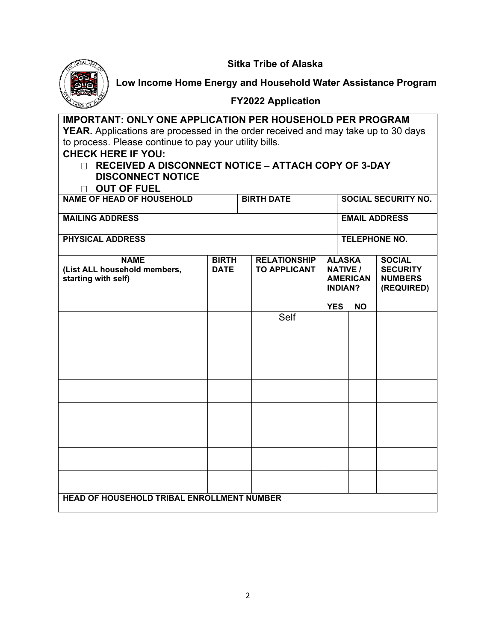**Sitka Tribe of Alaska**



**Low Income Home Energy and Household Water Assistance Program**

## **FY2022 Application**

**IMPORTANT: ONLY ONE APPLICATION PER HOUSEHOLD PER PROGRAM YEAR.** Applications are processed in the order received and may take up to 30 days to process. Please continue to pay your utility bills.

#### **CHECK HERE IF YOU:**

## **RECEIVED A DISCONNECT NOTICE – ATTACH COPY OF 3-DAY DISCONNECT NOTICE**

#### **OUT OF FUEL**

| <b>NAME OF HEAD OF HOUSEHOLD</b>                                   |                             |  | <b>BIRTH DATE</b>                          |            | <b>SOCIAL SECURITY NO.</b> |                                                                                    |                                                                  |
|--------------------------------------------------------------------|-----------------------------|--|--------------------------------------------|------------|----------------------------|------------------------------------------------------------------------------------|------------------------------------------------------------------|
| <b>MAILING ADDRESS</b>                                             |                             |  |                                            |            |                            |                                                                                    | <b>EMAIL ADDRESS</b>                                             |
| <b>PHYSICAL ADDRESS</b>                                            |                             |  |                                            |            |                            |                                                                                    | <b>TELEPHONE NO.</b>                                             |
| <b>NAME</b><br>(List ALL household members,<br>starting with self) | <b>BIRTH</b><br><b>DATE</b> |  | <b>RELATIONSHIP</b><br><b>TO APPLICANT</b> | <b>YES</b> |                            | <b>ALASKA</b><br><b>NATIVE /</b><br><b>AMERICAN</b><br><b>INDIAN?</b><br><b>NO</b> | <b>SOCIAL</b><br><b>SECURITY</b><br><b>NUMBERS</b><br>(REQUIRED) |
|                                                                    |                             |  | Self                                       |            |                            |                                                                                    |                                                                  |
|                                                                    |                             |  |                                            |            |                            |                                                                                    |                                                                  |
|                                                                    |                             |  |                                            |            |                            |                                                                                    |                                                                  |
|                                                                    |                             |  |                                            |            |                            |                                                                                    |                                                                  |
|                                                                    |                             |  |                                            |            |                            |                                                                                    |                                                                  |
|                                                                    |                             |  |                                            |            |                            |                                                                                    |                                                                  |
|                                                                    |                             |  |                                            |            |                            |                                                                                    |                                                                  |
|                                                                    |                             |  |                                            |            |                            |                                                                                    |                                                                  |
| <b>HEAD OF HOUSEHOLD TRIBAL ENROLLMENT NUMBER</b>                  |                             |  |                                            |            |                            |                                                                                    |                                                                  |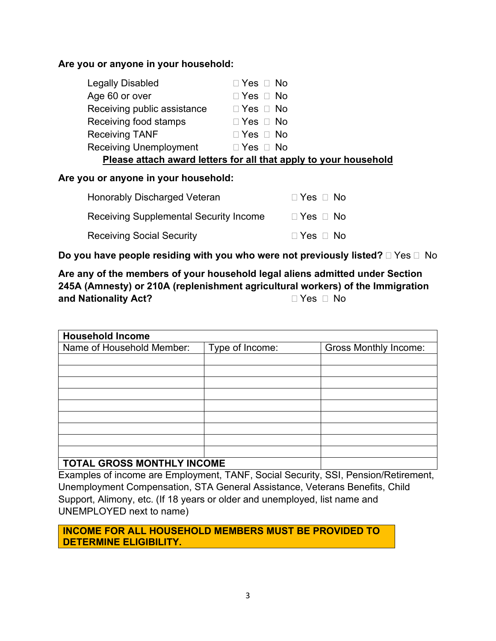## **Are you or anyone in your household:**

| Legally Disabled              | $\Box$ Yes $\Box$ No                                             |
|-------------------------------|------------------------------------------------------------------|
| Age 60 or over                | $\Box$ Yes $\Box$ No                                             |
| Receiving public assistance   | $\Box$ Yes $\Box$ No                                             |
| Receiving food stamps         | $\Box$ Yes $\Box$ No                                             |
| <b>Receiving TANF</b>         | $\Box$ Yes $\Box$ No                                             |
| <b>Receiving Unemployment</b> | $\Box$ Yes $\Box$ No                                             |
|                               | Please attach award letters for all that apply to your household |

#### **Are you or anyone in your household:**

| <b>Honorably Discharged Veteran</b>           | $\Box$ Yes $\Box$ No |
|-----------------------------------------------|----------------------|
| <b>Receiving Supplemental Security Income</b> | $\Box$ Yes $\Box$ No |
| <b>Receiving Social Security</b>              | $\Box$ Yes $\Box$ No |

**Do you have people residing with you who were not previously listed?**  $\Box$  Yes  $\Box$  No

# **Are any of the members of your household legal aliens admitted under Section 245A (Amnesty) or 210A (replenishment agricultural workers) of the Immigration and Nationality Act?**  Yes No

| <b>Household Income</b>         |                 |                              |
|---------------------------------|-----------------|------------------------------|
| Name of Household Member:       | Type of Income: | <b>Gross Monthly Income:</b> |
|                                 |                 |                              |
|                                 |                 |                              |
|                                 |                 |                              |
|                                 |                 |                              |
|                                 |                 |                              |
|                                 |                 |                              |
|                                 |                 |                              |
|                                 |                 |                              |
|                                 |                 |                              |
| CROSS MONITULY INCOME<br>TAT AI |                 |                              |

# **TOTAL GROSS MONTHLY INCOME**

Examples of income are Employment, TANF, Social Security, SSI, Pension/Retirement, Unemployment Compensation, STA General Assistance, Veterans Benefits, Child Support, Alimony, etc. (If 18 years or older and unemployed, list name and UNEMPLOYED next to name)

**INCOME FOR ALL HOUSEHOLD MEMBERS MUST BE PROVIDED TO DETERMINE ELIGIBILITY.**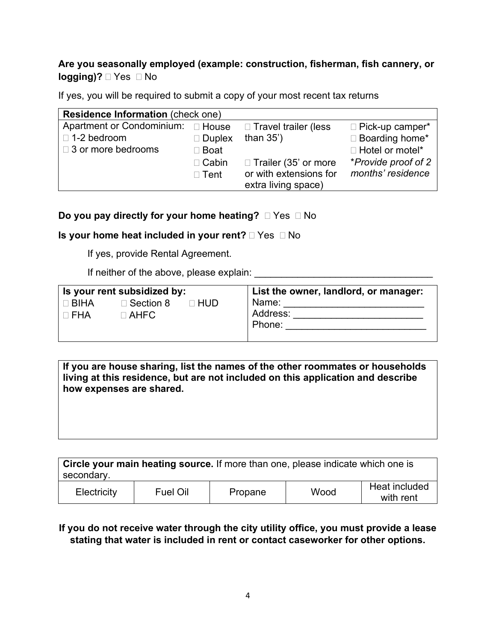# **Are you seasonally employed (example: construction, fisherman, fish cannery, or logging)?**  $\Box$  Yes  $\Box$  No

If yes, you will be required to submit a copy of your most recent tax returns

| <b>Residence Information (check one)</b> |                  |                        |                        |
|------------------------------------------|------------------|------------------------|------------------------|
| Apartment or Condominium: □ House        |                  | □ Travel trailer (less | □ Pick-up camper*      |
| $\Box$ 1-2 bedroom                       | $\square$ Duplex | than $35'$ )           | □ Boarding home*       |
| $\Box$ 3 or more bedrooms                | $\square$ Boat   |                        | $\Box$ Hotel or motel* |
|                                          | $\Box$ Cabin     | □ Trailer (35' or more | *Provide proof of 2    |
|                                          | $\Box$ Tent      | or with extensions for | months' residence      |
|                                          |                  | extra living space)    |                        |

## **Do you pay directly for your home heating?**  $\Box$  Yes  $\Box$  No

## **Is your home heat included in your rent?**  $\Box$  Yes  $\Box$  No

If yes, provide Rental Agreement.

If neither of the above, please explain:

|                           | Is your rent subsidized by:                |        | List the owner, landlord, or manager: |
|---------------------------|--------------------------------------------|--------|---------------------------------------|
| $\Box$ BIHA<br>$\Box$ FHA | $\Box$ Section 8<br>$\sqcap$ AHFC $\sqcap$ | ⊓ HUD. | Name:<br>Address:<br>Phone:           |

**If you are house sharing, list the names of the other roommates or households living at this residence, but are not included on this application and describe how expenses are shared.**

| secondary.  |          | Circle your main heating source. If more than one, please indicate which one is |      |                            |
|-------------|----------|---------------------------------------------------------------------------------|------|----------------------------|
| Electricity | Fuel Oil | Propane                                                                         | Wood | Heat included<br>with rent |

## **If you do not receive water through the city utility office, you must provide a lease stating that water is included in rent or contact caseworker for other options.**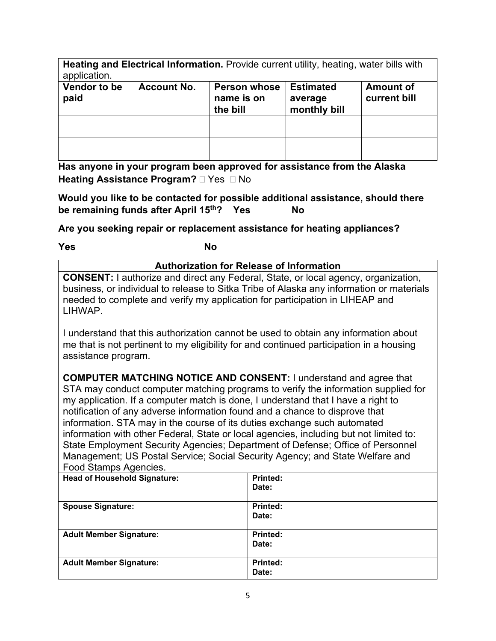**Heating and Electrical Information.** Provide current utility, heating, water bills with application.

| Vendor to be<br>paid | <b>Account No.</b> | Person whose<br>name is on<br>the bill | <b>Estimated</b><br>average<br>monthly bill | <b>Amount of</b><br>current bill |
|----------------------|--------------------|----------------------------------------|---------------------------------------------|----------------------------------|
|                      |                    |                                        |                                             |                                  |
|                      |                    |                                        |                                             |                                  |

**Has anyone in your program been approved for assistance from the Alaska Heating Assistance Program? Nes II** No

**Would you like to be contacted for possible additional assistance, should there be remaining funds after April 15th? Yes No**

**Are you seeking repair or replacement assistance for heating appliances?** 

**Yes No**

**Authorization for Release of Information CONSENT:** I authorize and direct any Federal, State, or local agency, organization, business, or individual to release to Sitka Tribe of Alaska any information or materials needed to complete and verify my application for participation in LIHEAP and LIHWAP. I understand that this authorization cannot be used to obtain any information about

me that is not pertinent to my eligibility for and continued participation in a housing assistance program.

**COMPUTER MATCHING NOTICE AND CONSENT:** I understand and agree that STA may conduct computer matching programs to verify the information supplied for my application. If a computer match is done, I understand that I have a right to notification of any adverse information found and a chance to disprove that information. STA may in the course of its duties exchange such automated information with other Federal, State or local agencies, including but not limited to: State Employment Security Agencies; Department of Defense; Office of Personnel Management; US Postal Service; Social Security Agency; and State Welfare and Food Stamps Agencies.

| <b>Head of Household Signature:</b> | Printed:        |
|-------------------------------------|-----------------|
|                                     | Date:           |
|                                     |                 |
| <b>Spouse Signature:</b>            | Printed:        |
|                                     | Date:           |
|                                     |                 |
| <b>Adult Member Signature:</b>      | <b>Printed:</b> |
|                                     | Date:           |
|                                     |                 |
| <b>Adult Member Signature:</b>      | Printed:        |
|                                     | Date:           |
|                                     |                 |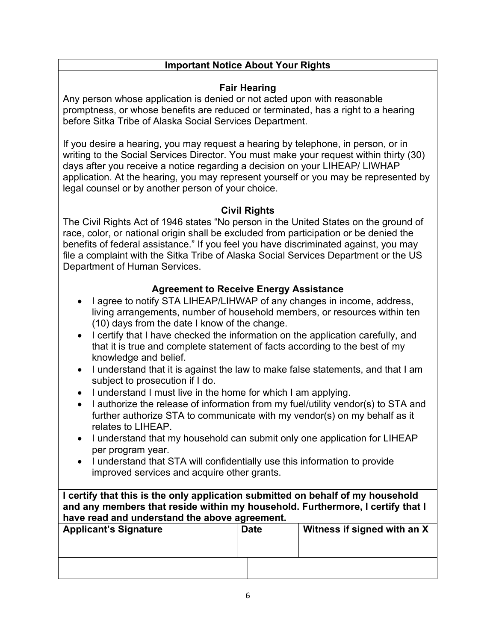# **Important Notice About Your Rights**

#### **Fair Hearing**

Any person whose application is denied or not acted upon with reasonable promptness, or whose benefits are reduced or terminated, has a right to a hearing before Sitka Tribe of Alaska Social Services Department.

If you desire a hearing, you may request a hearing by telephone, in person, or in writing to the Social Services Director. You must make your request within thirty (30) days after you receive a notice regarding a decision on your LIHEAP/ LIWHAP application. At the hearing, you may represent yourself or you may be represented by legal counsel or by another person of your choice.

## **Civil Rights**

The Civil Rights Act of 1946 states "No person in the United States on the ground of race, color, or national origin shall be excluded from participation or be denied the benefits of federal assistance." If you feel you have discriminated against, you may file a complaint with the Sitka Tribe of Alaska Social Services Department or the US Department of Human Services.

# **Agreement to Receive Energy Assistance**

- I agree to notify STA LIHEAP/LIHWAP of any changes in income, address, living arrangements, number of household members, or resources within ten (10) days from the date I know of the change.
- I certify that I have checked the information on the application carefully, and that it is true and complete statement of facts according to the best of my knowledge and belief.
- I understand that it is against the law to make false statements, and that I am subject to prosecution if I do.
- I understand I must live in the home for which I am applying.
- I authorize the release of information from my fuel/utility vendor(s) to STA and further authorize STA to communicate with my vendor(s) on my behalf as it relates to LIHEAP.
- I understand that my household can submit only one application for LIHEAP per program year.
- I understand that STA will confidentially use this information to provide improved services and acquire other grants.

**I certify that this is the only application submitted on behalf of my household and any members that reside within my household. Furthermore, I certify that I have read and understand the above agreement.**

| <b>Applicant's Signature</b> | <b>Date</b> | Witness if signed with an X |
|------------------------------|-------------|-----------------------------|
|                              |             |                             |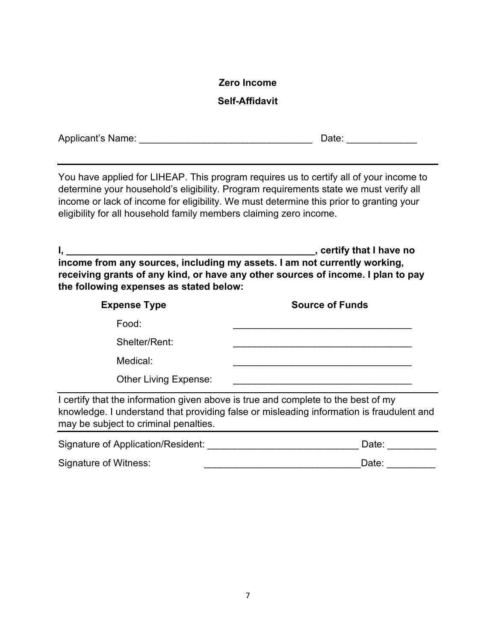## **Zero Income**

## **Self-Affidavit**

| Applicant's Name: | Date: |
|-------------------|-------|
|                   |       |

You have applied for LIHEAP. This program requires us to certify all of your income to determine your household's eligibility. Program requirements state we must verify all income or lack of income for eligibility. We must determine this prior to granting your eligibility for all household family members claiming zero income.

**I, \_\_\_\_\_\_\_\_\_\_\_\_\_\_\_\_\_\_\_\_\_\_\_\_\_\_\_\_\_\_\_\_\_\_\_\_\_\_\_\_\_\_\_\_\_\_, certify that I have no income from any sources, including my assets. I am not currently working, receiving grants of any kind, or have any other sources of income. I plan to pay the following expenses as stated below:**

| <b>Expense Type</b>                                                               | <b>Source of Funds</b> |  |  |
|-----------------------------------------------------------------------------------|------------------------|--|--|
| Food:                                                                             |                        |  |  |
| Shelter/Rent:                                                                     |                        |  |  |
| Medical:                                                                          |                        |  |  |
| <b>Other Living Expense:</b>                                                      |                        |  |  |
| I certify that the information given above is true and complete to the best of my |                        |  |  |

knowledge. I understand that providing false or misleading information is fraudulent and may be subject to criminal penalties.

| Signature of Application/Resident: | Date: |
|------------------------------------|-------|
| Signature of Witness:              | Date: |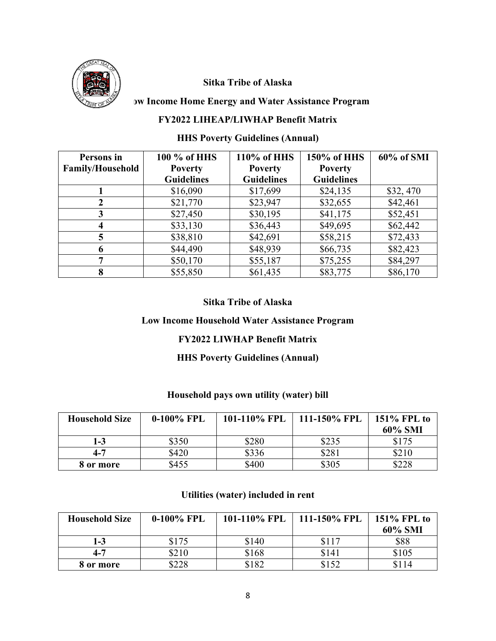

## **Sitka Tribe of Alaska**

#### **Low Income Home Energy and Water Assistance Program**

#### **FY2022 LIHEAP/LIWHAP Benefit Matrix**

# **HHS Poverty Guidelines (Annual)**

| Persons in              | 100 % of HHS      | 110% of HHS       | 150% of HHS       | 60% of SMI |
|-------------------------|-------------------|-------------------|-------------------|------------|
| <b>Family/Household</b> | <b>Poverty</b>    | <b>Poverty</b>    | <b>Poverty</b>    |            |
|                         | <b>Guidelines</b> | <b>Guidelines</b> | <b>Guidelines</b> |            |
|                         | \$16,090          | \$17,699          | \$24,135          | \$32,470   |
| 2                       | \$21,770          | \$23,947          | \$32,655          | \$42,461   |
| 3                       | \$27,450          | \$30,195          | \$41,175          | \$52,451   |
| 4                       | \$33,130          | \$36,443          | \$49,695          | \$62,442   |
| 5                       | \$38,810          | \$42,691          | \$58,215          | \$72,433   |
| 6                       | \$44,490          | \$48,939          | \$66,735          | \$82,423   |
| 7                       | \$50,170          | \$55,187          | \$75,255          | \$84,297   |
| 8                       | \$55,850          | \$61,435          | \$83,775          | \$86,170   |

#### **Sitka Tribe of Alaska**

#### **Low Income Household Water Assistance Program**

#### **FY2022 LIWHAP Benefit Matrix**

#### **HHS Poverty Guidelines (Annual)**

#### **Household pays own utility (water) bill**

| <b>Household Size</b> | $0-100\%$ FPL | 101-110% FPL | 111-150% FPL | $151\%$ FPL to<br>60% SMI |
|-----------------------|---------------|--------------|--------------|---------------------------|
| 1-3                   | \$350         | \$280        | \$235        | \$175                     |
| $4 - 7$               | \$420         | \$336        | \$281        | \$210                     |
| 8 or more             | \$455         | \$400        | \$305        | \$228                     |

#### **Utilities (water) included in rent**

| <b>Household Size</b> | $0-100\%$ FPL | 101-110% FPL | 111-150% FPL | 151% FPL to<br>60% SMI |
|-----------------------|---------------|--------------|--------------|------------------------|
| 1-3                   | \$175         | \$140        | \$117        | \$88                   |
| $4 - 7$               | \$210         | \$168        | \$141        | \$105                  |
| 8 or more             | \$228         | \$182        | \$152        | \$114                  |